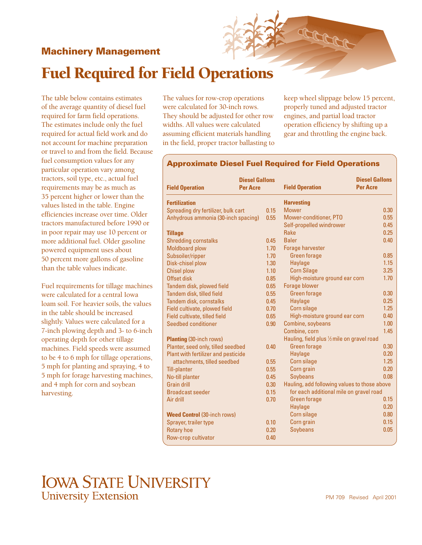## **Machinery Management**



The table below contains estimates of the average quantity of diesel fuel required for farm field operations. The estimates include only the fuel required for actual field work and do not account for machine preparation or travel to and from the field. Because fuel consumption values for any particular operation vary among tractors, soil type, etc., actual fuel requirements may be as much as 35 percent higher or lower than the values listed in the table. Engine efficiencies increase over time. Older tractors manufactured before 1990 or in poor repair may use 10 percent or more additional fuel. Older gasoline powered equipment uses about 50 percent more gallons of gasoline than the table values indicate.

Fuel requirements for tillage machines were calculated for a central Iowa loam soil. For heavier soils, the values in the table should be increased slightly. Values were calculated for a 7-inch plowing depth and 3- to 6-inch operating depth for other tillage machines. Field speeds were assumed to be 4 to 6 mph for tillage operations, 5 mph for planting and spraying, 4 to 5 mph for forage harvesting machines, and 4 mph for corn and soybean harvesting.

in the field, proper tractor ballasting to The values for row-crop operations were calculated for 30-inch rows. They should be adjusted for other row widths. All values were calculated assuming efficient materials handling

keep wheel slippage below 15 percent, properly tuned and adjusted tractor engines, and partial load tractor operation efficiency by shifting up a gear and throttling the engine back.

## **Approximate Diesel Fuel Required for Field Operations**

| <b>Diesel Gallons</b><br><b>Field Operation</b><br><b>Per Acre</b> |  |      | <b>Field Operation</b>                       | <b>Diesel Gallons</b><br><b>Per Acre</b> |  |
|--------------------------------------------------------------------|--|------|----------------------------------------------|------------------------------------------|--|
| <b>Fertilization</b>                                               |  |      | <b>Harvesting</b>                            |                                          |  |
| Spreading dry fertilizer, bulk cart                                |  | 0.15 | <b>Mower</b>                                 | 0.30                                     |  |
| Anhydrous ammonia (30-inch spacing)                                |  | 0.55 | Mower-conditioner, PTO                       | 0.55                                     |  |
|                                                                    |  |      | Self-propelled windrower                     | 0.45                                     |  |
| <b>Tillage</b>                                                     |  |      | Rake                                         | 0.25                                     |  |
| <b>Shredding cornstalks</b>                                        |  | 0.45 | <b>Baler</b>                                 | 0.40                                     |  |
| <b>Moldboard plow</b>                                              |  | 1.70 | <b>Forage harvester</b>                      |                                          |  |
| Subsoiler/ripper                                                   |  | 1.70 | <b>Green forage</b>                          | 0.85                                     |  |
| Disk-chisel plow                                                   |  | 1.30 | <b>Haylage</b>                               | 1.15                                     |  |
| <b>Chisel plow</b>                                                 |  | 1.10 | <b>Corn Silage</b>                           | 3.25                                     |  |
| Offset disk                                                        |  | 0.85 | High-moisture ground ear corn                | 1.70                                     |  |
| Tandem disk, plowed field                                          |  | 0.65 | Forage blower                                |                                          |  |
| Tandem disk, tilled field                                          |  | 0.55 | <b>Green forage</b>                          | 0.30                                     |  |
| Tandem disk, cornstalks                                            |  | 0.45 | Haylage                                      | 0.25                                     |  |
| Field cultivate, plowed field                                      |  | 0.70 | Corn silage                                  | 1.25                                     |  |
| Field cultivate, tilled field                                      |  | 0.65 | High-moisture ground ear corn                | 0.40                                     |  |
| Seedbed conditioner                                                |  | 0.90 | Combine, soybeans                            | 1.00                                     |  |
|                                                                    |  |      | Combine, corn                                | 1.45                                     |  |
| <b>Planting (30-inch rows)</b>                                     |  |      | Hauling, field plus 1/2 mile on gravel road  |                                          |  |
| Planter, seed only, tilled seedbed                                 |  | 0.40 | <b>Green forage</b>                          | 0.30                                     |  |
| Plant with fertilizer and pesticide                                |  |      | Haylage                                      | 0.20                                     |  |
| attachments, tilled seedbed                                        |  | 0.55 | Corn silage                                  | 1.25                                     |  |
| <b>Till-planter</b>                                                |  | 0.55 | Corn grain                                   | 0.20                                     |  |
| No-till planter                                                    |  | 0.45 | Soybeans                                     | 0.08                                     |  |
| <b>Grain drill</b>                                                 |  | 0.30 | Hauling, add following values to those above |                                          |  |
| <b>Broadcast seeder</b>                                            |  | 0.15 | for each additional mile on gravel road      |                                          |  |
| Air drill                                                          |  | 0.70 | <b>Green forage</b>                          | 0.15                                     |  |
|                                                                    |  |      | <b>Haylage</b>                               | 0.20                                     |  |
| <b>Weed Control (30-inch rows)</b>                                 |  |      | Corn silage                                  | 0.80                                     |  |
| Sprayer, trailer type                                              |  | 0.10 | Corn grain                                   | 0.15                                     |  |
| <b>Rotary hoe</b>                                                  |  | 0.20 | <b>Soybeans</b>                              | 0.05                                     |  |
| Row-crop cultivator                                                |  | 0.40 |                                              |                                          |  |
|                                                                    |  |      |                                              |                                          |  |

## **IOWA STATE UNIVERSITY University Extension**